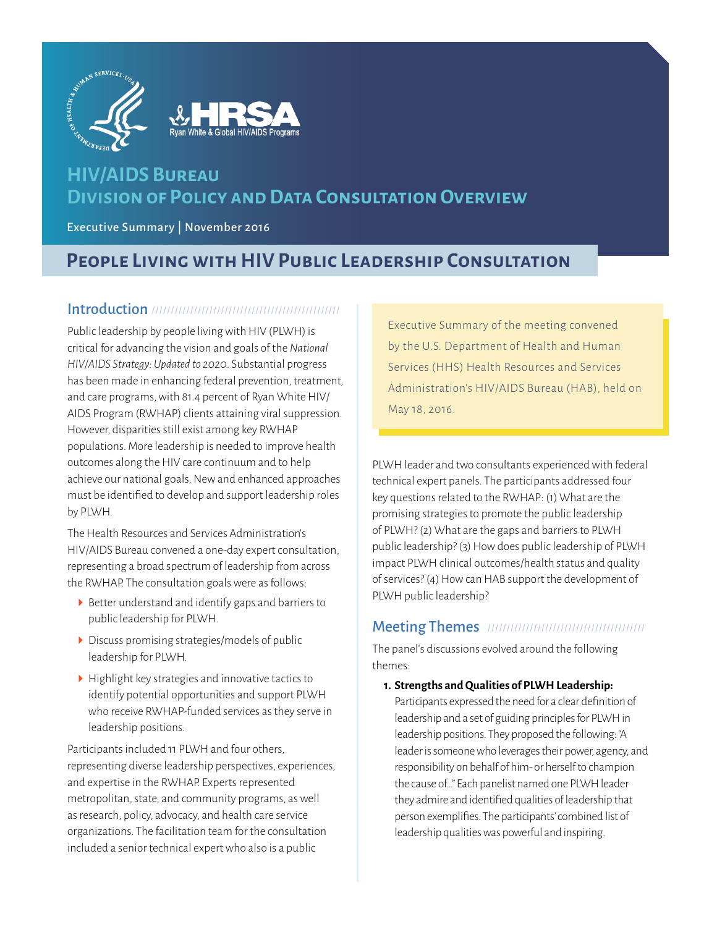



# **HIV/AIDS Bureau Division of Policy and Data Consultation Overview**

Executive Summary | November 2016

# **People Living with HIV Public Leadership Consultation**

## Introduction /////////////////////////////////////////////////

Public leadership by people living with HIV (PLWH) is critical for advancing the vision and goals of the *National HIV/AIDS Strategy: Updated to 2020*. Substantial progress has been made in enhancing federal prevention, treatment, and care programs, with 81.4 percent of Ryan White HIV/ AIDS Program (RWHAP) clients attaining viral suppression. However, disparities still exist among key RWHAP populations. More leadership is needed to improve health outcomes along the HIV care continuum and to help achieve our national goals. New and enhanced approaches must be identified to develop and support leadership roles by PLWH.

The Health Resources and Services Administration's HIV/AIDS Bureau convened a one-day expert consultation, representing a broad spectrum of leadership from across the RWHAP. The consultation goals were as follows:

- $\triangleright$  Better understand and identify gaps and barriers to public leadership for PLWH.
- Discuss promising strategies/models of public leadership for PLWH.
- $\blacktriangleright$  Highlight key strategies and innovative tactics to identify potential opportunities and support PLWH who receive RWHAP-funded services as they serve in leadership positions.

Participants included 11 PLWH and four others, representing diverse leadership perspectives, experiences, and expertise in the RWHAP. Experts represented metropolitan, state, and community programs, as well as research, policy, advocacy, and health care service organizations. The facilitation team for the consultation included a senior technical expert who also is a public

Executive Summary of the meeting convened by the U.S. Department of Health and Human Services (HHS) Health Resources and Services Administration's HIV/AIDS Bureau (HAB), held on May 18, 2016.

PLWH leader and two consultants experienced with federal technical expert panels. The participants addressed four key questions related to the RWHAP: (1) What are the promising strategies to promote the public leadership of PLWH? (2) What are the gaps and barriers to PLWH public leadership? (3) How does public leadership of PLWH impact PLWH clinical outcomes/health status and quality of services? (4) How can HAB support the development of PLWH public leadership?

## Meeting Themes /////////////////////////////////////////

The panel's discussions evolved around the following themes:

### **1. Strengths and Qualities of PLWH Leadership:**

Participants expressed the need for a clear definition of leadership and a set of guiding principles for PLWH in leadership positions. They proposed the following: "A leader is someone who leverages their power, agency, and responsibility on behalf of him- or herself to champion the cause of…" Each panelist named one PLWH leader they admire and identified qualities of leadership that person exemplifies. The participants' combined list of leadership qualities was powerful and inspiring.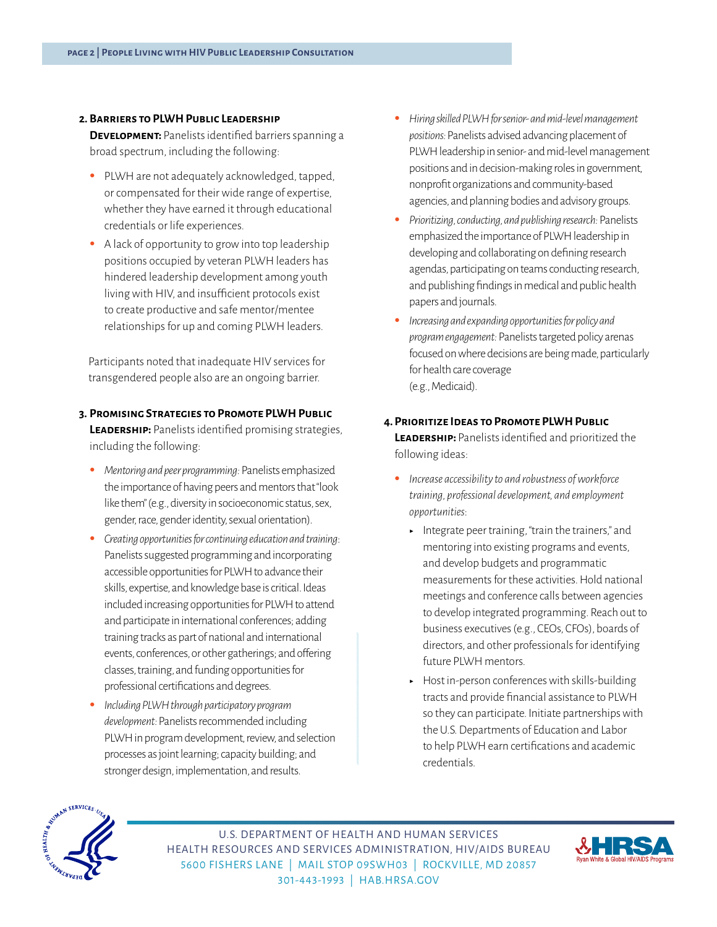#### **2. Barriers to PLWH Public Leadership**

**DEVELOPMENT:** Panelists identified barriers spanning a broad spectrum, including the following:

- PLWH are not adequately acknowledged, tapped, or compensated for their wide range of expertise, whether they have earned it through educational credentials or life experiences.
- A lack of opportunity to grow into top leadership positions occupied by veteran PLWH leaders has hindered leadership development among youth living with HIV, and insufficient protocols exist to create productive and safe mentor/mentee relationships for up and coming PLWH leaders.

Participants noted that inadequate HIV services for transgendered people also are an ongoing barrier.

- **3. Promising Strategies to Promote PLWH Public LEADERSHIP:** Panelists identified promising strategies, including the following:
	- *Mentoring and peer programming:* Panelists emphasized the importance of having peers and mentors that "look like them" (e.g., diversity in socioeconomic status, sex, gender, race, gender identity, sexual orientation).
	- *Creating opportunities for continuing education and training*: Panelists suggested programming and incorporating accessible opportunities for PLWH to advance their skills, expertise, and knowledge base is critical. Ideas included increasing opportunities for PLWH to attend and participate in international conferences; adding training tracks as part of national and international events, conferences, or other gatherings; and offering classes, training, and funding opportunities for professional certifications and degrees.
	- *Including PLWH through participatory program development:* Panelists recommended including PLWH in program development, review, and selection processes as joint learning; capacity building; and stronger design, implementation, and results.
- *Hiring skilled PLWH for senior- and mid-level management positions:* Panelists advised advancing placement of PLWH leadership in senior- and mid-level management positions and in decision-making roles in government, nonprofit organizations and community-based agencies, and planning bodies and advisory groups.
- *Prioritizing, conducting, and publishing research:* Panelists emphasized the importance of PLWH leadership in developing and collaborating on defining research agendas, participating on teams conducting research, and publishing findings in medical and public health papers and journals.
- *Increasing and expanding opportunities for policy and program engagement:* Panelists targeted policy arenas focused on where decisions are being made, particularly for health care coverage (e.g., Medicaid).
- **4.Prioritize Ideas to Promote PLWH Public LEADERSHIP:** Panelists identified and prioritized the following ideas:
	- *Increase accessibility to and robustness of workforce training, professional development, and employment opportunities*:
		- $\blacksquare$  Integrate peer training, "train the trainers," and mentoring into existing programs and events, and develop budgets and programmatic measurements for these activities. Hold national meetings and conference calls between agencies to develop integrated programming. Reach out to business executives (e.g., CEOs, CFOs), boards of directors, and other professionals for identifying future PLWH mentors.
		- $\blacktriangleright$  Host in-person conferences with skills-building tracts and provide financial assistance to PLWH so they can participate. Initiate partnerships with the U.S. Departments of Education and Labor to help PLWH earn certifications and academic credentials.



U.S. DEPARTMENT OF HEALTH AND HUMAN SERVICES HEALTH RESOURCES AND SERVICES ADMINISTRATION, HIV/AIDS BUREAU 5600 FISHERS LANE | MAIL STOP 09SWH03 | ROCKVILLE, MD 20857 301-443-1993 | [HAB.HRSA.GOV](http://hab.hrsa.gov)